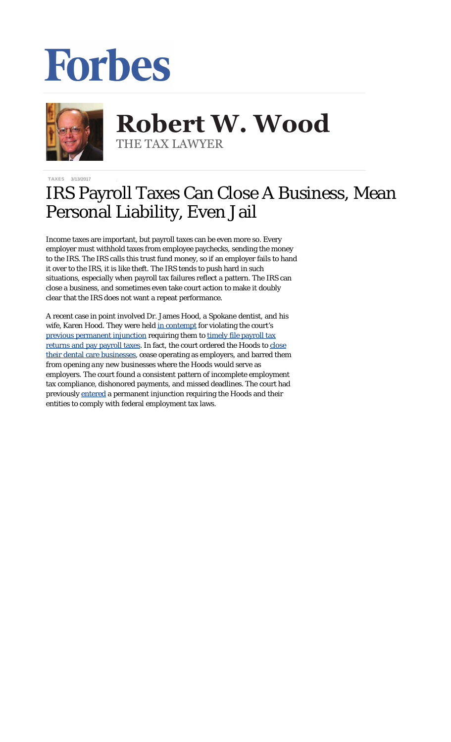## Forbes



**Robert W. Wood Robert W. Wood** THE TAX LAWYER THE TAX LAWYER

TAXES 3/13/2017

## IRS Payroll Taxes Can Close A Business, Mean Personal Liability, Even Jail

Income taxes are important, but payroll taxes can be even more so. Every employer must withhold taxes from employee paychecks, sending the money to the IRS. The IRS calls this trust fund money, so if an employer fails to hand it over to the IRS, it is like theft. The IRS tends to push hard in such situations, especially when payroll tax failures reflect a pattern. The IRS can close a business, and sometimes even take court action to make it doubly clear that the IRS does not want a repeat performance.

A recent case in point involved Dr. James Hood, a Spokane dentist, and his wife, Karen Hood. They were held [in contempt](https://www.justice.gov/opa/press-release/file/947031/download) for violating the court's [previous permanent injunction](https://www.justice.gov/opa/file/828831/download) requiring them to [timely file payroll tax](https://www.justice.gov/opa/pr/federal-court-permanently-enjoins-eastern-washington-dental-care-provider-and-its-owners) [returns and pay payroll taxes](https://www.justice.gov/opa/pr/federal-court-permanently-enjoins-eastern-washington-dental-care-provider-and-its-owners). In fact, the court ordered the Hoods to [close](https://www.justice.gov/opa/pr/federal-court-orders-eastern-washington-dentist-and-spouse-shut-down-their-dental-care) [their dental care businesses](https://www.justice.gov/opa/pr/federal-court-orders-eastern-washington-dentist-and-spouse-shut-down-their-dental-care), cease operating as employers, and barred them from opening *any new* businesses where the Hoods would serve as employers. The court found a consistent pattern of incomplete employment tax compliance, dishonored payments, and missed deadlines. The court had previously [entered](https://www.justice.gov/opa/pr/federal-court-permanently-enjoins-eastern-washington-dental-care-provider-and-its-owners) a permanent injunction requiring the Hoods and their entities to comply with federal employment tax laws.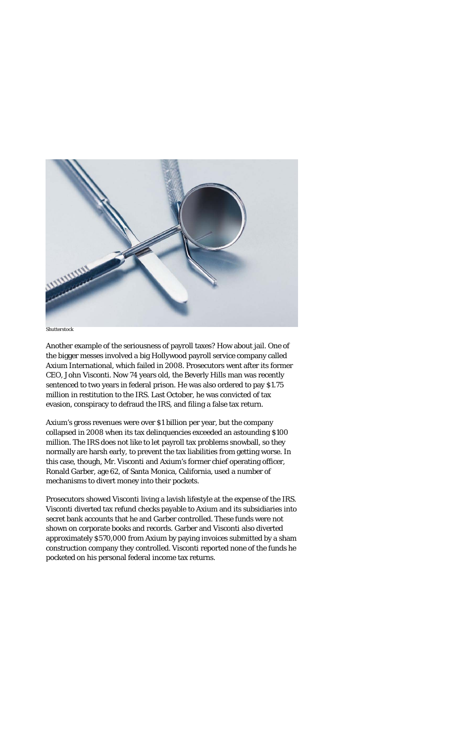

*Shutterstock*

Another example of the seriousness of payroll taxes? How about jail. One of the bigger messes involved a big Hollywood payroll service company called Axium International, which failed in 2008. Prosecutors went after its former CEO, John Visconti. Now 74 years old, the Beverly Hills man was recently sentenced to two years in federal prison. He was also ordered to pay \$1.75 million in restitution to the IRS. Last October, he was convicted of tax evasion, conspiracy to defraud the IRS, and filing a false tax return.

Axium's gross revenues were over \$1 billion per year, but the company collapsed in 2008 when its tax delinquencies exceeded an astounding \$100 million. The IRS does not like to let payroll tax problems snowball, so they normally are harsh early, to prevent the tax liabilities from getting worse. In this case, though, Mr. Visconti and Axium's former chief operating officer, Ronald Garber, age 62, of Santa Monica, California, used a number of mechanisms to divert money into their pockets.

Prosecutors showed Visconti living a lavish lifestyle at the expense of the IRS. Visconti diverted tax refund checks payable to Axium and its subsidiaries into secret bank accounts that he and Garber controlled. These funds were not shown on corporate books and records. Garber and Visconti also diverted approximately \$570,000 from Axium by paying invoices submitted by a sham construction company they controlled. Visconti reported none of the funds he pocketed on his personal federal income tax returns.